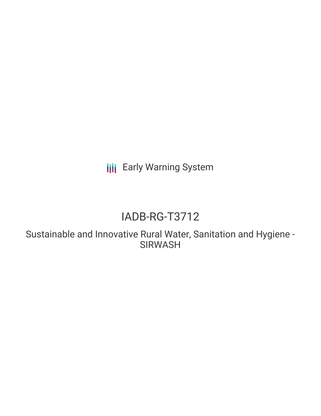**III** Early Warning System

# IADB-RG-T3712

Sustainable and Innovative Rural Water, Sanitation and Hygiene - SIRWASH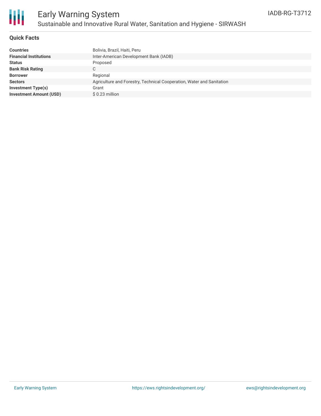

## **Quick Facts**

| <b>Countries</b>               | Bolivia, Brazil, Haiti, Peru                                          |
|--------------------------------|-----------------------------------------------------------------------|
| <b>Financial Institutions</b>  | Inter-American Development Bank (IADB)                                |
| <b>Status</b>                  | Proposed                                                              |
| <b>Bank Risk Rating</b>        | ◡                                                                     |
| <b>Borrower</b>                | Regional                                                              |
| <b>Sectors</b>                 | Agriculture and Forestry, Technical Cooperation, Water and Sanitation |
| <b>Investment Type(s)</b>      | Grant                                                                 |
| <b>Investment Amount (USD)</b> | $$0.23$ million                                                       |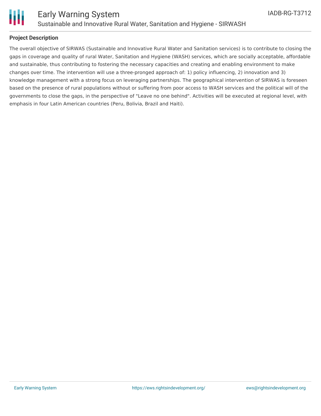

## **Project Description**

The overall objective of SIRWAS (Sustainable and Innovative Rural Water and Sanitation services) is to contribute to closing the gaps in coverage and quality of rural Water, Sanitation and Hygiene (WASH) services, which are socially acceptable, affordable and sustainable, thus contributing to fostering the necessary capacities and creating and enabling environment to make changes over time. The intervention will use a three-pronged approach of: 1) policy influencing, 2) innovation and 3) knowledge management with a strong focus on leveraging partnerships. The geographical intervention of SIRWAS is foreseen based on the presence of rural populations without or suffering from poor access to WASH services and the political will of the governments to close the gaps, in the perspective of "Leave no one behind". Activities will be executed at regional level, with emphasis in four Latin American countries (Peru, Bolivia, Brazil and Haiti).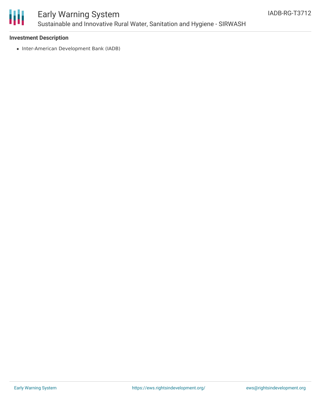

# Early Warning System Sustainable and Innovative Rural Water, Sanitation and Hygiene - SIRWASH

### **Investment Description**

• Inter-American Development Bank (IADB)